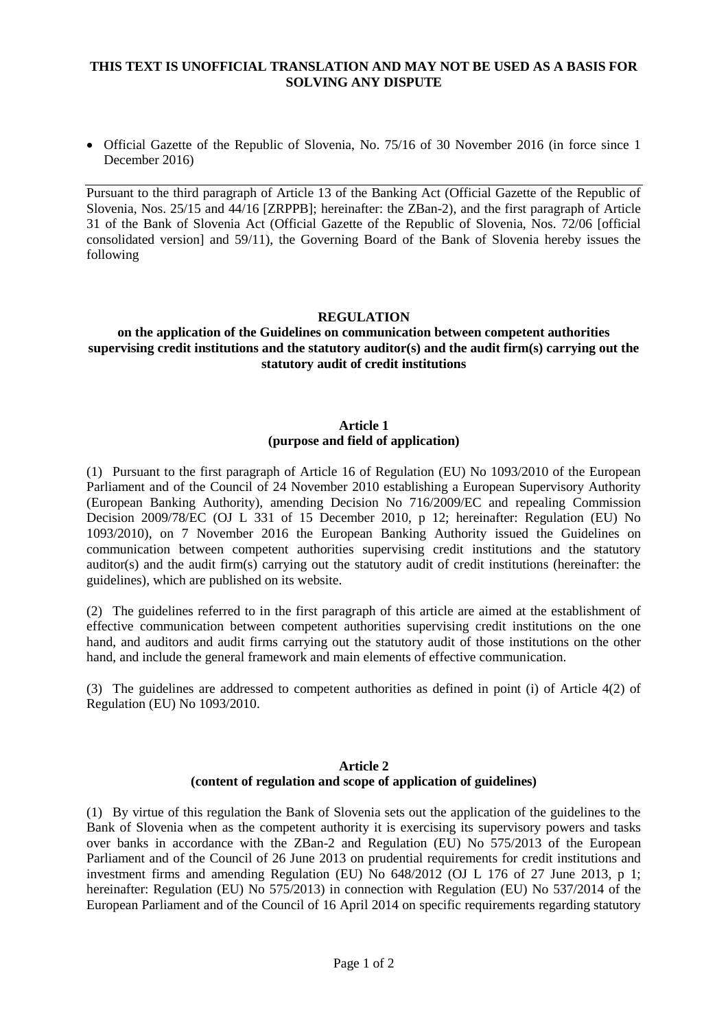## **THIS TEXT IS UNOFFICIAL TRANSLATION AND MAY NOT BE USED AS A BASIS FOR SOLVING ANY DISPUTE**

 Official Gazette of the Republic of Slovenia, No. 75/16 of 30 November 2016 (in force since 1 December 2016)

Pursuant to the third paragraph of Article 13 of the Banking Act (Official Gazette of the Republic of Slovenia, Nos. 25/15 and 44/16 [ZRPPB]; hereinafter: the ZBan-2), and the first paragraph of Article 31 of the Bank of Slovenia Act (Official Gazette of the Republic of Slovenia, Nos. 72/06 [official consolidated version] and 59/11), the Governing Board of the Bank of Slovenia hereby issues the following

#### **REGULATION**

#### **on the application of the Guidelines on communication between competent authorities supervising credit institutions and the statutory auditor(s) and the audit firm(s) carrying out the statutory audit of credit institutions**

#### **Article 1 (purpose and field of application)**

(1) Pursuant to the first paragraph of Article 16 of Regulation (EU) No 1093/2010 of the European Parliament and of the Council of 24 November 2010 establishing a European Supervisory Authority (European Banking Authority), amending Decision No 716/2009/EC and repealing Commission Decision 2009/78/EC (OJ L 331 of 15 December 2010, p 12; hereinafter: Regulation (EU) No 1093/2010), on 7 November 2016 the European Banking Authority issued the Guidelines on communication between competent authorities supervising credit institutions and the statutory auditor(s) and the audit firm(s) carrying out the statutory audit of credit institutions (hereinafter: the guidelines), which are published on its website.

(2) The guidelines referred to in the first paragraph of this article are aimed at the establishment of effective communication between competent authorities supervising credit institutions on the one hand, and auditors and audit firms carrying out the statutory audit of those institutions on the other hand, and include the general framework and main elements of effective communication.

(3) The guidelines are addressed to competent authorities as defined in point (i) of Article 4(2) of Regulation (EU) No 1093/2010.

### **Article 2 (content of regulation and scope of application of guidelines)**

(1) By virtue of this regulation the Bank of Slovenia sets out the application of the guidelines to the Bank of Slovenia when as the competent authority it is exercising its supervisory powers and tasks over banks in accordance with the ZBan-2 and Regulation (EU) No 575/2013 of the European Parliament and of the Council of 26 June 2013 on prudential requirements for credit institutions and investment firms and amending Regulation (EU) No 648/2012 (OJ L 176 of 27 June 2013, p 1; hereinafter: Regulation (EU) No 575/2013) in connection with Regulation (EU) No 537/2014 of the European Parliament and of the Council of 16 April 2014 on specific requirements regarding statutory